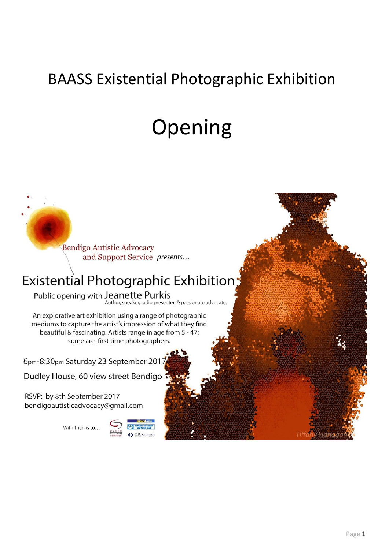## BAASS Existential Photographic Exhibition

# Opening

**Bendigo Autistic Advocacy** and Support Service presents...

### Existential Photographic Exhibition:

Public opening with Jeanette Purkis Author, speaker, radio presenter, & passionate advocate.

An explorative art exhibition using a range of photographic mediums to capture the artist's impression of what they find beautiful & fascinating. Artists range in age from 5 - 47; some are first time photographers.

6pm-8:30pm Saturday 23 September 2017

Dudley House, 60 view street Bendigo

RSVP: by 8th September 2017 bendigoautisticadvocacy@gmail.com

With thanks to...



Flanz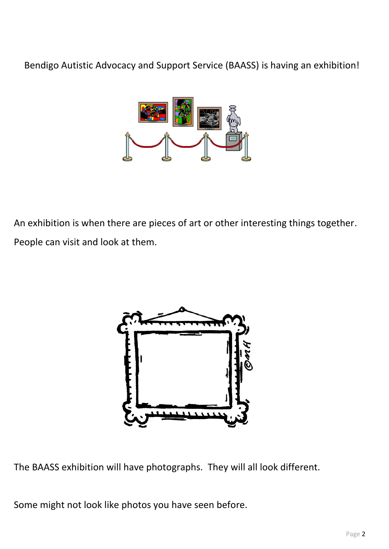Bendigo Autistic Advocacy and Support Service (BAASS) is having an exhibition!



An exhibition is when there are pieces of art or other interesting things together. People can visit and look at them.



The BAASS exhibition will have photographs. They will all look different.

Some might not look like photos you have seen before.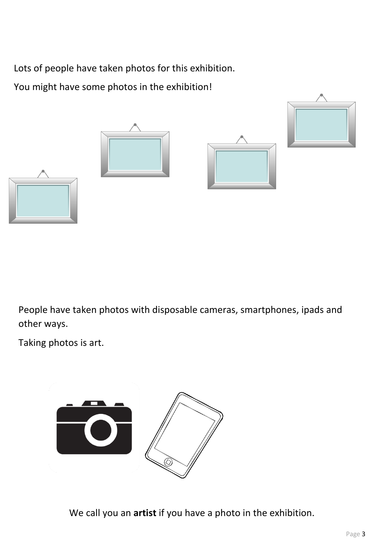Lots of people have taken photos for this exhibition.

You might have some photos in the exhibition!



People have taken photos with disposable cameras, smartphones, ipads and other ways.

Taking photos is art.



We call you an **artist** if you have a photo in the exhibition.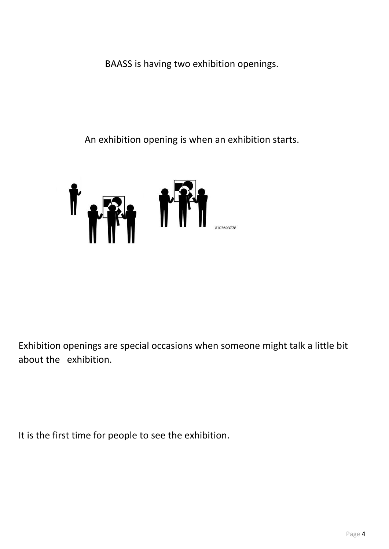BAASS is having two exhibition openings.

An exhibition opening is when an exhibition starts.



Exhibition openings are special occasions when someone might talk a little bit about the exhibition.

It is the first time for people to see the exhibition.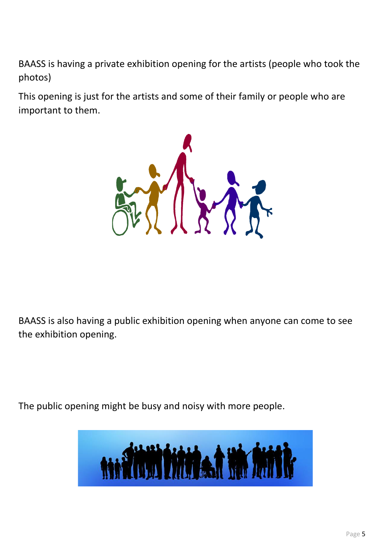BAASS is having a private exhibition opening for the artists (people who took the photos)

This opening is just for the artists and some of their family or people who are important to them.



BAASS is also having a public exhibition opening when anyone can come to see the exhibition opening.

The public opening might be busy and noisy with more people.

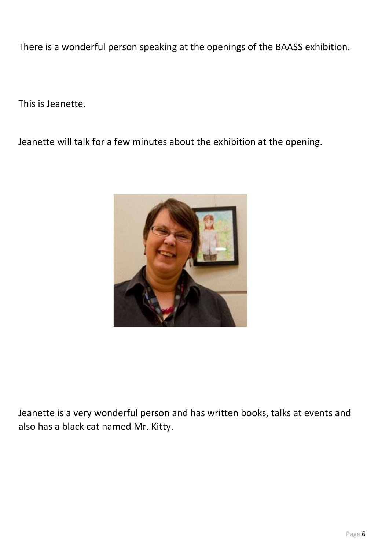There is a wonderful person speaking at the openings of the BAASS exhibition.

This is Jeanette.

Jeanette will talk for a few minutes about the exhibition at the opening.



Jeanette is a very wonderful person and has written books, talks at events and also has a black cat named Mr. Kitty.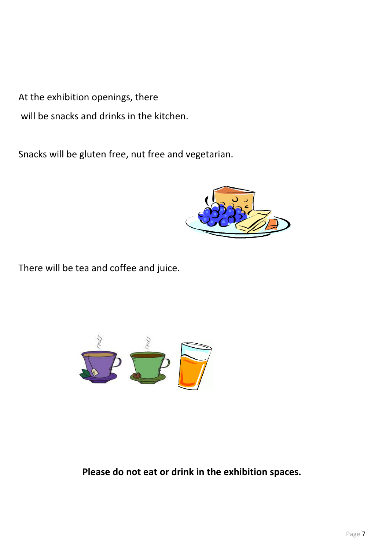At the exhibition openings, there

will be snacks and drinks in the kitchen.

Snacks will be gluten free, nut free and vegetarian.



There will be tea and coffee and juice.



#### **Please do not eat or drink in the exhibition spaces.**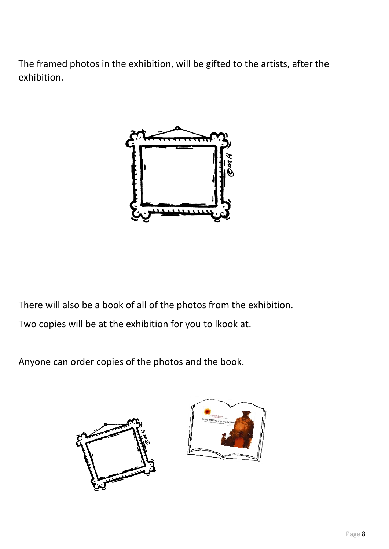The framed photos in the exhibition, will be gifted to the artists, after the exhibition.



There will also be a book of all of the photos from the exhibition. Two copies will be at the exhibition for you to lkook at.

Anyone can order copies of the photos and the book.



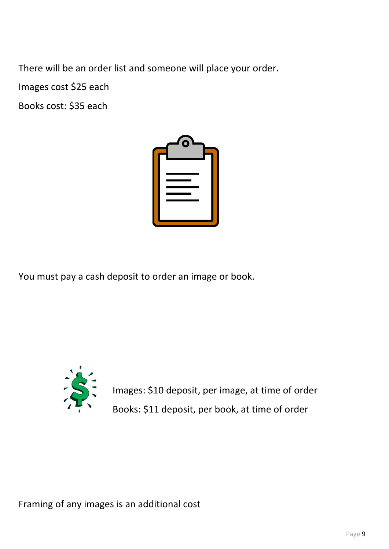There will be an order list and someone will place your order.

Images cost \$25 each

Books cost: \$35 each



You must pay a cash deposit to order an image or book.



Images: \$10 deposit, per image, at time of order Books: \$11 deposit, per book, at time of order

Framing of any images is an additional cost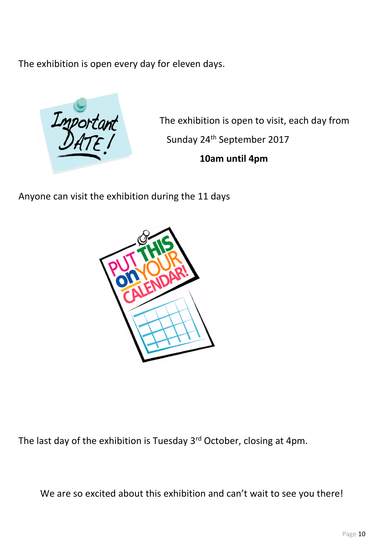The exhibition is open every day for eleven days.



The exhibition is open to visit, each day from Sunday 24th September 2017 **10am until 4pm**

Anyone can visit the exhibition during the 11 days



The last day of the exhibition is Tuesday 3<sup>rd</sup> October, closing at 4pm.

We are so excited about this exhibition and can't wait to see you there!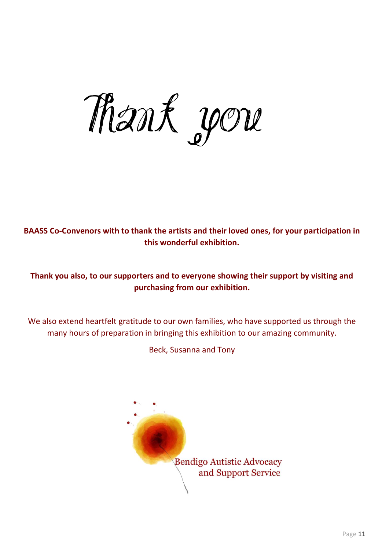*Thank you*

**BAASS Co-Convenors with to thank the artists and their loved ones, for your participation in this wonderful exhibition.**

**Thank you also, to our supporters and to everyone showing their support by visiting and purchasing from our exhibition.**

We also extend heartfelt gratitude to our own families, who have supported us through the many hours of preparation in bringing this exhibition to our amazing community.

Beck, Susanna and Tony